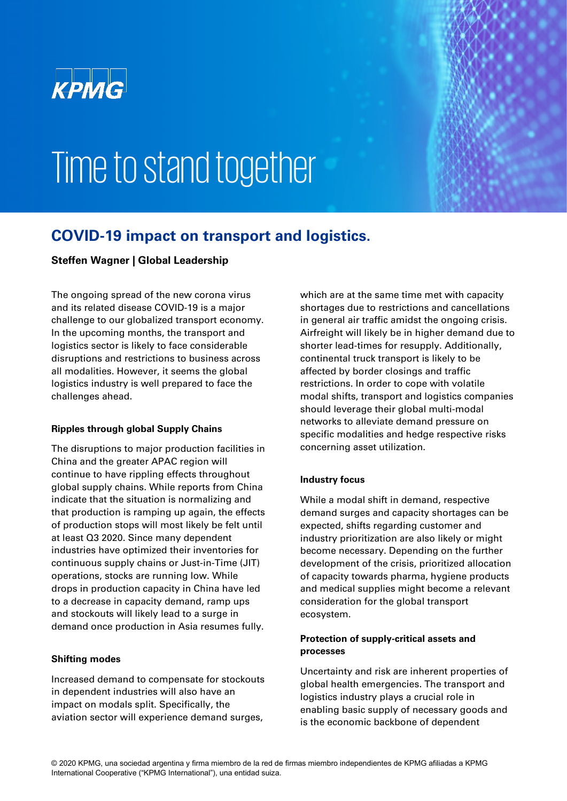

# Time to stand together

### **COVID-19 impact on transport and logistics.**

#### **Steffen Wagner | Global Leadership**

The ongoing spread of the new corona virus and its related disease COVID-19 is a major challenge to our globalized transport economy. In the upcoming months, the transport and logistics sector is likely to face considerable disruptions and restrictions to business across all modalities. However, it seems the global logistics industry is well prepared to face the challenges ahead.

#### **Ripples through global Supply Chains**

The disruptions to major production facilities in China and the greater APAC region will continue to have rippling effects throughout global supply chains. While reports from China indicate that the situation is normalizing and that production is ramping up again, the effects of production stops will most likely be felt until at least Q3 2020. Since many dependent industries have optimized their inventories for continuous supply chains or Just-in-Time (JIT) operations, stocks are running low. While drops in production capacity in China have led to a decrease in capacity demand, ramp ups and stockouts will likely lead to a surge in demand once production in Asia resumes fully.

#### **Shifting modes**

Increased demand to compensate for stockouts in dependent industries will also have an impact on modals split. Specifically, the aviation sector will experience demand surges,

which are at the same time met with capacity shortages due to restrictions and cancellations in general air traffic amidst the ongoing crisis. Airfreight will likely be in higher demand due to shorter lead-times for resupply. Additionally, continental truck transport is likely to be affected by border closings and traffic restrictions. In order to cope with volatile modal shifts, transport and logistics companies should leverage their global multi-modal networks to alleviate demand pressure on specific modalities and hedge respective risks concerning asset utilization.

#### **Industry focus**

While a modal shift in demand, respective demand surges and capacity shortages can be expected, shifts regarding customer and industry prioritization are also likely or might become necessary. Depending on the further development of the crisis, prioritized allocation of capacity towards pharma, hygiene products and medical supplies might become a relevant consideration for the global transport ecosystem.

#### **Protection of supply-critical assets and processes**

Uncertainty and risk are inherent properties of global health emergencies. The transport and logistics industry plays a crucial role in enabling basic supply of necessary goods and is the economic backbone of dependent